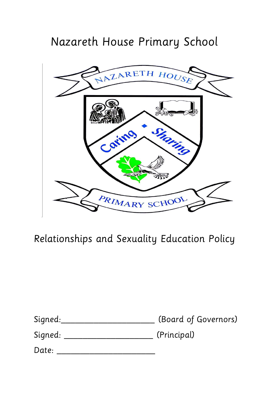# Nazareth House Primary School



Relationships and Sexuality Education Policy

| Signed: | (Board of Governors) |
|---------|----------------------|
| Signed: | (Principal)          |

| Date: |  |
|-------|--|
|       |  |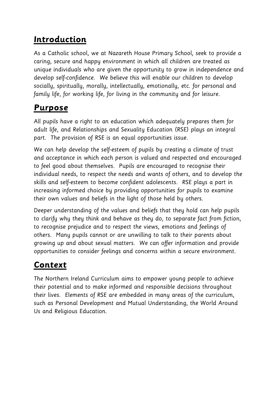#### **Introduction**

As a Catholic school, we at Nazareth House Primary School, seek to provide a caring, secure and happy environment in which all children are treated as unique individuals who are given the opportunity to grow in independence and develop self-confidence. We believe this will enable our children to develop socially, spiritually, morally, intellectually, emotionally, etc. for personal and family life, for working life, for living in the community and for leisure.

#### **Purpose**

All pupils have a right to an education which adequately prepares them for adult life, and Relationships and Sexuality Education (RSE) plays an integral part. The provision of RSE is an equal opportunities issue.

We can help develop the self-esteem of pupils by creating a climate of trust and acceptance in which each person is valued and respected and encouraged to feel good about themselves. Pupils are encouraged to recognise their individual needs, to respect the needs and wants of others, and to develop the skills and self-esteem to become confident adolescents. RSE plays a part in increasing informed choice by providing opportunities for pupils to examine their own values and beliefs in the light of those held by others.

Deeper understanding of the values and beliefs that they hold can help pupils to clarify why they think and behave as they do, to separate fact from fiction, to recognise prejudice and to respect the views, emotions and feelings of others. Many pupils cannot or are unwilling to talk to their parents about growing up and about sexual matters. We can offer information and provide opportunities to consider feelings and concerns within a secure environment.

# **Context**

The Northern Ireland Curriculum aims to empower young people to achieve their potential and to make informed and responsible decisions throughout their lives. Elements of RSE are embedded in many areas of the curriculum, such as Personal Development and Mutual Understanding, the World Around Us and Religious Education.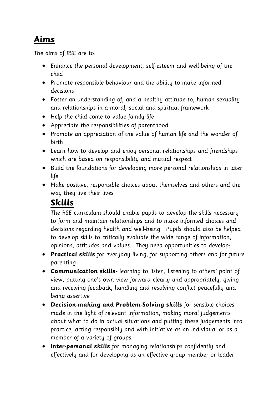#### **Aims**

The aims of RSE are to:

- Enhance the personal development, self-esteem and well-being of the child
- Promote responsible behaviour and the ability to make informed decisions
- Foster an understanding of, and a healthy attitude to, human sexuality and relationships in a moral, social and spiritual framework
- Help the child come to value family life
- Appreciate the responsibilities of parenthood
- Promote an appreciation of the value of human life and the wonder of birth
- Learn how to develop and enjoy personal relationships and friendships which are based on responsibility and mutual respect
- Build the foundations for developing more personal relationships in later life
- Make positive, responsible choices about themselves and others and the way they live their lives

#### **Skills**

The RSE curriculum should enable pupils to develop the skills necessary to form and maintain relationships and to make informed choices and decisions regarding health and well-being. Pupils should also be helped to develop skills to critically evaluate the wide range of information, opinions, attitudes and values. They need opportunities to develop:

- **Practical skills** for everyday living, for supporting others and for future parenting
- **Communication skills-** learning to listen, listening to others' point of view, putting one's own view forward clearly and appropriately, giving and receiving feedback, handling and resolving conflict peacefully and being assertive
- **Decision-making and Problem-Solving skills** for sensible choices made in the light of relevant information, making moral judgements about what to do in actual situations and putting these judgements into practice, acting responsibly and with initiative as an individual or as a member of a variety of groups
- **Inter-personal skills** for managing relationships confidently and effectively and for developing as an effective group member or leader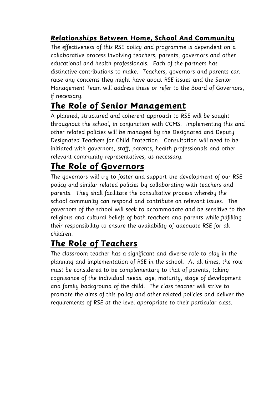#### **Relationships Between Home, School And Community**

The effectiveness of this RSE policy and programme is dependent on a collaborative process involving teachers, parents, governors and other educational and health professionals. Each of the partners has distinctive contributions to make. Teachers, governors and parents can raise any concerns they might have about RSE issues and the Senior Management Team will address these or refer to the Board of Governors, if necessary.

#### **The Role of Senior Management**

A planned, structured and coherent approach to RSE will be sought throughout the school, in conjunction with CCMS. Implementing this and other related policies will be managed by the Designated and Deputy Designated Teachers for Child Protection. Consultation will need to be initiated with governors, staff, parents, health professionals and other relevant community representatives, as necessary.

#### **The Role of Governors**

The governors will try to foster and support the development of our RSE policy and similar related policies by collaborating with teachers and parents. They shall facilitate the consultative process whereby the school community can respond and contribute on relevant issues. The governors of the school will seek to accommodate and be sensitive to the religious and cultural beliefs of both teachers and parents while fulfilling their responsibility to ensure the availability of adequate RSE for all children.

### **The Role of Teachers**

The classroom teacher has a significant and diverse role to play in the planning and implementation of RSE in the school. At all times, the role must be considered to be complementary to that of parents, taking cognisance of the individual needs, age, maturity, stage of development and family background of the child. The class teacher will strive to promote the aims of this policy and other related policies and deliver the requirements of RSE at the level appropriate to their particular class.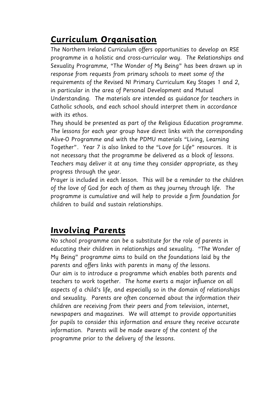### **Curriculum Organisation**

The Northern Ireland Curriculum offers opportunities to develop an RSE programme in a holistic and cross-curricular way. The Relationships and Sexuality Programme, "The Wonder of My Being" has been drawn up in response from requests from primary schools to meet some of the requirements of the Revised NI Primary Curriculum Key Stages 1 and 2, in particular in the area of Personal Development and Mutual Understanding. The materials are intended as guidance for teachers in Catholic schools, and each school should interpret them in accordance with its ethos.

They should be presented as part of the Religious Education programme. The lessons for each year group have direct links with the corresponding Alive-O Programme and with the PDMU materials "Living, Learning Together". Year 7 is also linked to the "Love for Life" resources. It is not necessary that the programme be delivered as a block of lessons. Teachers may deliver it at any time they consider appropriate, as they progress through the year.

Prayer is included in each lesson. This will be a reminder to the children of the love of God for each of them as they journey through life. The programme is cumulative and will help to provide a firm foundation for children to build and sustain relationships.

#### **Involving Parents**

No school programme can be a substitute for the role of parents in educating their children in relationships and sexuality. "The Wonder of My Being" programme aims to build on the foundations laid by the parents and offers links with parents in many of the lessons. Our aim is to introduce a programme which enables both parents and teachers to work together. The home exerts a major influence on all aspects of a child's life, and especially so in the domain of relationships and sexuality. Parents are often concerned about the information their children are receiving from their peers and from television, internet, newspapers and magazines. We will attempt to provide opportunities for pupils to consider this information and ensure they receive accurate information. Parents will be made aware of the content of the programme prior to the delivery of the lessons.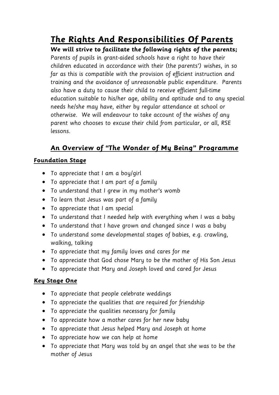**The Rights And Responsibilities Of Parents**

**We will strive to facilitate the following rights of the parents;**

Parents of pupils in grant-aided schools have a right to have their children educated in accordance with their (the parents') wishes, in so far as this is compatible with the provision of efficient instruction and training and the avoidance of unreasonable public expenditure. Parents also have a duty to cause their child to receive efficient full-time education suitable to his/her age, ability and aptitude and to any special needs he/she may have, either by regular attendance at school or otherwise. We will endeavour to take account of the wishes of any parent who chooses to excuse their child from particular, or all, RSE lessons.

#### **An Overview of "The Wonder of My Being" Programme**

#### **Foundation Stage**

- To appreciate that I am a boy/girl
- To appreciate that I am part of a family
- To understand that I grew in my mother's womb
- To learn that Jesus was part of a family
- To appreciate that I am special
- To understand that I needed help with everything when I was a baby
- To understand that I have grown and changed since I was a baby
- To understand some developmental stages of babies, e.g. crawling, walking, talking
- To appreciate that my family loves and cares for me
- To appreciate that God chose Mary to be the mother of His Son Jesus
- To appreciate that Mary and Joseph loved and cared for Jesus

#### **Key Stage One**

- To appreciate that people celebrate weddings
- To appreciate the qualities that are required for friendship
- To appreciate the qualities necessary for family
- To appreciate how a mother cares for her new baby
- To appreciate that Jesus helped Mary and Joseph at home
- To appreciate how we can help at home
- To appreciate that Mary was told by an angel that she was to be the mother of Jesus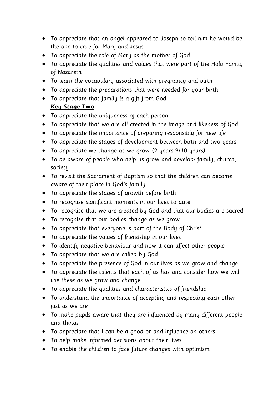- To appreciate that an angel appeared to Joseph to tell him he would be the one to care for Mary and Jesus
- To appreciate the role of Mary as the mother of God
- To appreciate the qualities and values that were part of the Holy Family of Nazareth
- To learn the vocabulary associated with pregnancy and birth
- To appreciate the preparations that were needed for your birth
- To appreciate that family is a gift from God

#### **Key Stage Two**

- To appreciate the uniqueness of each person
- To appreciate that we are all created in the image and likeness of God
- To appreciate the importance of preparing responsibly for new life
- To appreciate the stages of development between birth and two years
- To appreciate we change as we grow (2 years-9/10 years)
- To be aware of people who help us grow and develop: family, church, society
- To revisit the Sacrament of Baptism so that the children can become aware of their place in God's family
- To appreciate the stages of growth before birth
- To recognise significant moments in our lives to date
- To recognise that we are created by God and that our bodies are sacred
- To recognise that our bodies change as we grow
- To appreciate that everyone is part of the Body of Christ
- To appreciate the values of friendship in our lives
- To identify negative behaviour and how it can affect other people
- To appreciate that we are called by God
- To appreciate the presence of God in our lives as we grow and change
- To appreciate the talents that each of us has and consider how we will use these as we grow and change
- To appreciate the qualities and characteristics of friendship
- To understand the importance of accepting and respecting each other just as we are
- To make pupils aware that they are influenced by many different people and things
- To appreciate that I can be a good or bad influence on others
- To help make informed decisions about their lives
- To enable the children to face future changes with optimism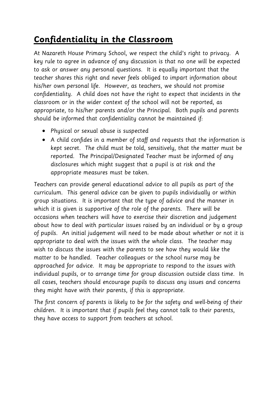# **Confidentiality in the Classroom**

At Nazareth House Primary School, we respect the child's right to privacy. A key rule to agree in advance of any discussion is that no one will be expected to ask or answer any personal questions. It is equally important that the teacher shares this right and never feels obliged to impart information about his/her own personal life. However, as teachers, we should not promise confidentiality. A child does not have the right to expect that incidents in the classroom or in the wider context of the school will not be reported, as appropriate, to his/her parents and/or the Principal. Both pupils and parents should be informed that confidentiality cannot be maintained if:

- Physical or sexual abuse is suspected
- A child confides in a member of staff and requests that the information is kept secret. The child must be told, sensitively, that the matter must be reported. The Principal/Designated Teacher must be informed of any disclosures which might suggest that a pupil is at risk and the appropriate measures must be taken.

Teachers can provide general educational advice to all pupils as part of the curriculum. This general advice can be given to pupils individually or within group situations. It is important that the type of advice and the manner in which it is given is supportive of the role of the parents. There will be occasions when teachers will have to exercise their discretion and judgement about how to deal with particular issues raised by an individual or by a group of pupils. An initial judgement will need to be made about whether or not it is appropriate to deal with the issues with the whole class. The teacher may wish to discuss the issues with the parents to see how they would like the matter to be handled. Teacher colleagues or the school nurse may be approached for advice. It may be appropriate to respond to the issues with individual pupils, or to arrange time for group discussion outside class time. In all cases, teachers should encourage pupils to discuss any issues and concerns they might have with their parents, if this is appropriate.

The first concern of parents is likely to be for the safety and well-being of their children. It is important that if pupils feel they cannot talk to their parents, they have access to support from teachers at school.